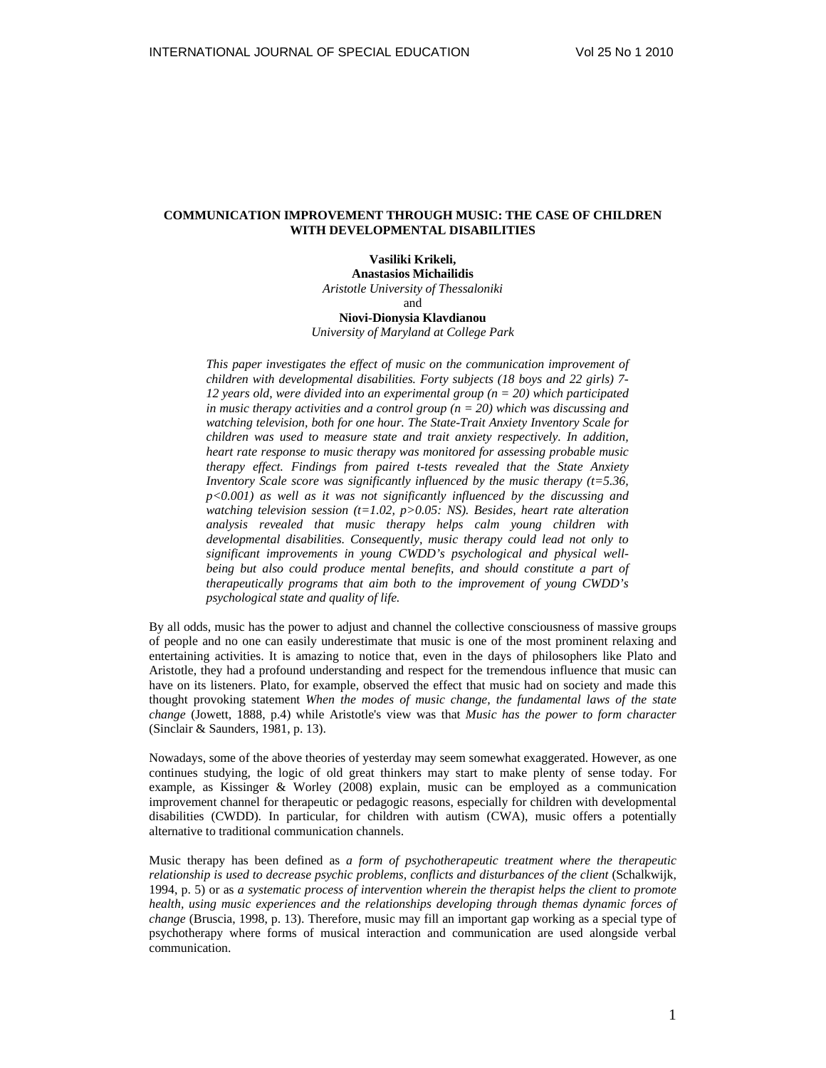# **COMMUNICATION IMPROVEMENT THROUGH MUSIC: THE CASE OF CHILDREN WITH DEVELOPMENTAL DISABILITIES**

**Vasiliki Krikeli, Anastasios Michailidis**  *Aristotle University of Thessaloniki* and

**Niovi-Dionysia Klavdianou**  *University of Maryland at College Park* 

*This paper investigates the effect of music on the communication improvement of children with developmental disabilities. Forty subjects (18 boys and 22 girls) 7- 12 years old, were divided into an experimental group (n = 20) which participated in music therapy activities and a control group (n = 20) which was discussing and watching television, both for one hour. The State-Trait Anxiety Inventory Scale for children was used to measure state and trait anxiety respectively. In addition, heart rate response to music therapy was monitored for assessing probable music therapy effect. Findings from paired t-tests revealed that the State Anxiety Inventory Scale score was significantly influenced by the music therapy (t=5.36, p<0.001) as well as it was not significantly influenced by the discussing and watching television session (t=1.02, p>0.05: NS). Besides, heart rate alteration analysis revealed that music therapy helps calm young children with developmental disabilities. Consequently, music therapy could lead not only to significant improvements in young CWDD's psychological and physical wellbeing but also could produce mental benefits, and should constitute a part of therapeutically programs that aim both to the improvement of young CWDD's psychological state and quality of life.*

By all odds, music has the power to adjust and channel the collective consciousness of massive groups of people and no one can easily underestimate that music is one of the most prominent relaxing and entertaining activities. It is amazing to notice that, even in the days of philosophers like Plato and Aristotle, they had a profound understanding and respect for the tremendous influence that music can have on its listeners. Plato, for example, observed the effect that music had on society and made this thought provoking statement *When the modes of music change, the fundamental laws of the state change* (Jowett, 1888, p.4) while Aristotle's view was that *Music has the power to form character* (Sinclair & Saunders, 1981, p. 13).

Nowadays, some of the above theories of yesterday may seem somewhat exaggerated. However, as one continues studying, the logic of old great thinkers may start to make plenty of sense today. For example, as Kissinger & Worley (2008) explain, music can be employed as a communication improvement channel for therapeutic or pedagogic reasons, especially for children with developmental disabilities (CWDD). In particular, for children with autism (CWA), music offers a potentially alternative to traditional communication channels.

Music therapy has been defined as *a form of psychotherapeutic treatment where the therapeutic relationship is used to decrease psychic problems, conflicts and disturbances of the client* (Schalkwijk, 1994, p. 5) or as *a systematic process of intervention wherein the therapist helps the client to promote health, using music experiences and the relationships developing through themas dynamic forces of change* (Bruscia, 1998, p. 13). Therefore, music may fill an important gap working as a special type of psychotherapy where forms of musical interaction and communication are used alongside verbal communication.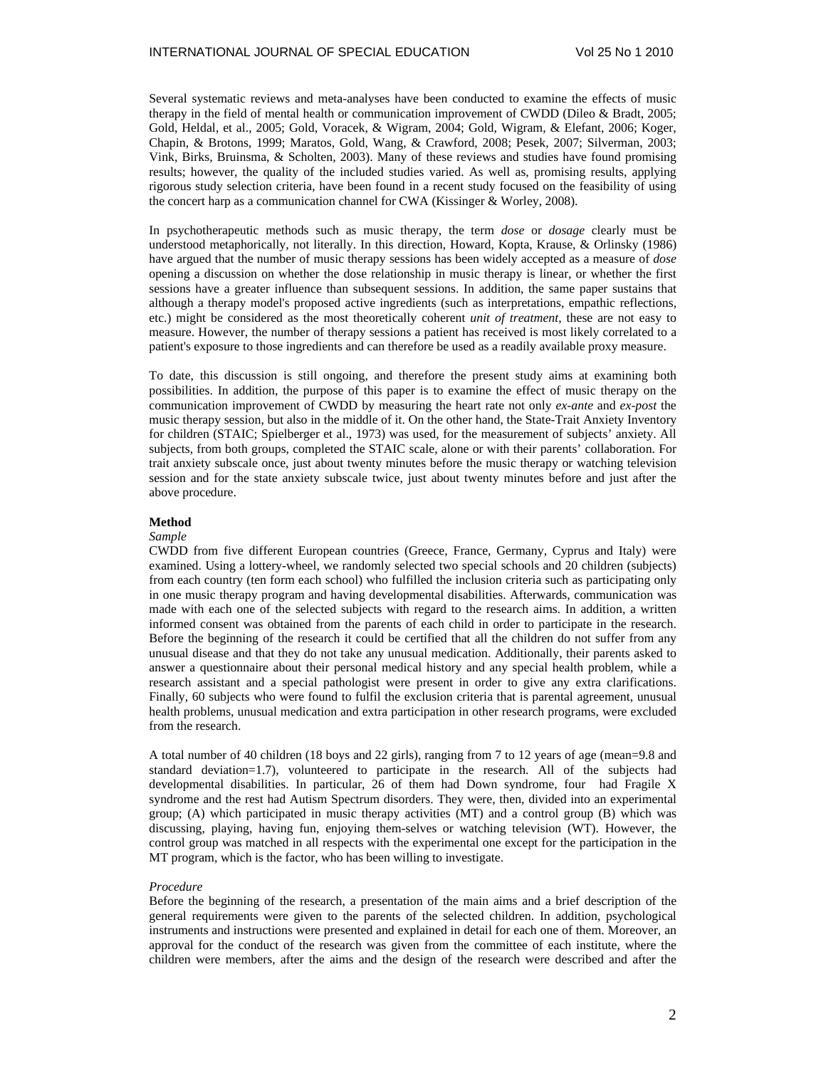Several systematic reviews and meta-analyses have been conducted to examine the effects of music therapy in the field of mental health or communication improvement of CWDD (Dileo & Bradt, 2005; Gold, Heldal, et al., 2005; Gold, Voracek, & Wigram, 2004; Gold, Wigram, & Elefant, 2006; Koger, Chapin, & Brotons, 1999; Maratos, Gold, Wang, & Crawford, 2008; Pesek, 2007; Silverman, 2003; Vink, Birks, Bruinsma, & Scholten, 2003). Many of these reviews and studies have found promising results; however, the quality of the included studies varied. As well as, promising results, applying rigorous study selection criteria, have been found in a recent study focused on the feasibility of using the concert harp as a communication channel for CWA (Kissinger & Worley, 2008).

In psychotherapeutic methods such as music therapy, the term *dose* or *dosage* clearly must be understood metaphorically, not literally. In this direction, Howard, Kopta, Krause, & Orlinsky (1986) have argued that the number of music therapy sessions has been widely accepted as a measure of *dose* opening a discussion on whether the dose relationship in music therapy is linear, or whether the first sessions have a greater influence than subsequent sessions. In addition, the same paper sustains that although a therapy model's proposed active ingredients (such as interpretations, empathic reflections, etc.) might be considered as the most theoretically coherent *unit of treatment*, these are not easy to measure. However, the number of therapy sessions a patient has received is most likely correlated to a patient's exposure to those ingredients and can therefore be used as a readily available proxy measure.

To date, this discussion is still ongoing, and therefore the present study aims at examining both possibilities. In addition, the purpose of this paper is to examine the effect of music therapy on the communication improvement of CWDD by measuring the heart rate not only *ex-ante* and *ex-post* the music therapy session, but also in the middle of it. On the other hand, the State-Trait Anxiety Inventory for children (STAIC; Spielberger et al., 1973) was used, for the measurement of subjects' anxiety. All subjects, from both groups, completed the STAIC scale, alone or with their parents' collaboration. For trait anxiety subscale once, just about twenty minutes before the music therapy or watching television session and for the state anxiety subscale twice, just about twenty minutes before and just after the above procedure.

### **Method**

#### *Sample*

CWDD from five different European countries (Greece, France, Germany, Cyprus and Italy) were examined. Using a lottery-wheel, we randomly selected two special schools and 20 children (subjects) from each country (ten form each school) who fulfilled the inclusion criteria such as participating only in one music therapy program and having developmental disabilities. Afterwards, communication was made with each one of the selected subjects with regard to the research aims. In addition, a written informed consent was obtained from the parents of each child in order to participate in the research. Before the beginning of the research it could be certified that all the children do not suffer from any unusual disease and that they do not take any unusual medication. Additionally, their parents asked to answer a questionnaire about their personal medical history and any special health problem, while a research assistant and a special pathologist were present in order to give any extra clarifications. Finally, 60 subjects who were found to fulfil the exclusion criteria that is parental agreement, unusual health problems, unusual medication and extra participation in other research programs, were excluded from the research.

A total number of 40 children (18 boys and 22 girls), ranging from 7 to 12 years of age (mean=9.8 and standard deviation=1.7), volunteered to participate in the research. All of the subjects had developmental disabilities. In particular, 26 of them had Down syndrome, four had Fragile X syndrome and the rest had Autism Spectrum disorders. They were, then, divided into an experimental group; (A) which participated in music therapy activities (MT) and a control group (B) which was discussing, playing, having fun, enjoying them-selves or watching television (WT). However, the control group was matched in all respects with the experimental one except for the participation in the MT program, which is the factor, who has been willing to investigate.

### *Procedure*

Before the beginning of the research, a presentation of the main aims and a brief description of the general requirements were given to the parents of the selected children. In addition, psychological instruments and instructions were presented and explained in detail for each one of them. Moreover, an approval for the conduct of the research was given from the committee of each institute, where the children were members, after the aims and the design of the research were described and after the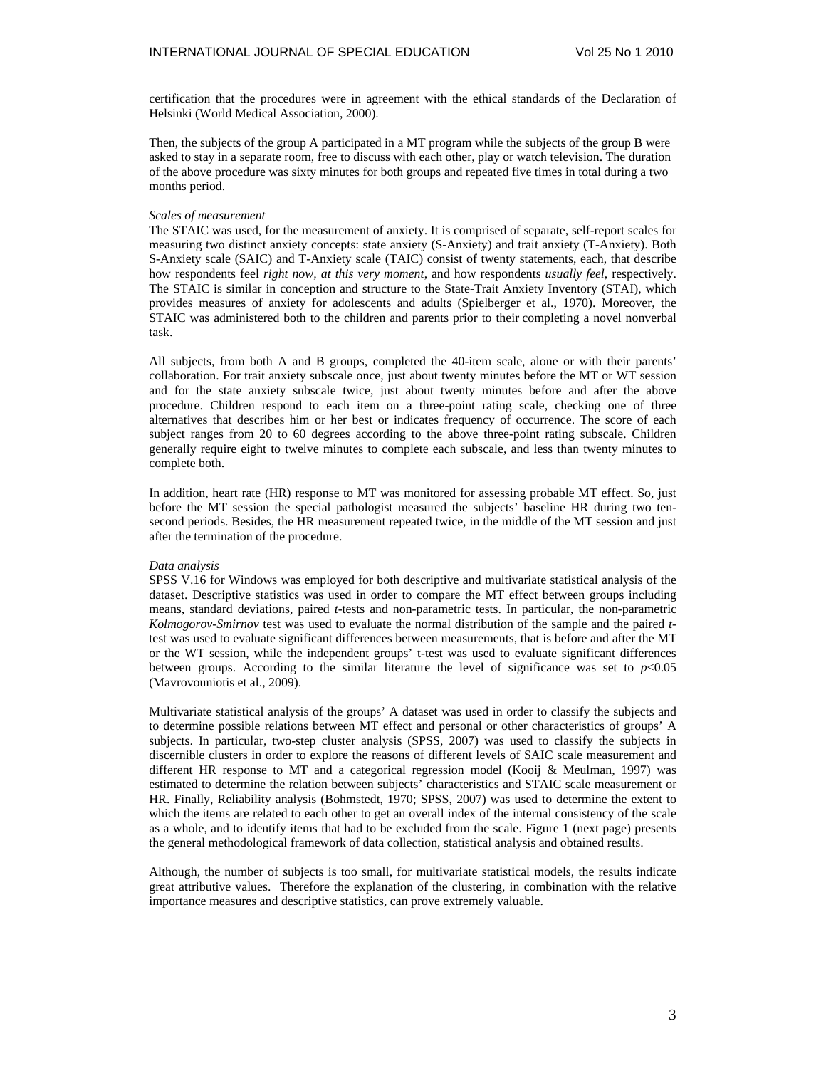certification that the procedures were in agreement with the ethical standards of the Declaration of Helsinki (World Medical Association, 2000).

Then, the subjects of the group A participated in a MT program while the subjects of the group B were asked to stay in a separate room, free to discuss with each other, play or watch television. The duration of the above procedure was sixty minutes for both groups and repeated five times in total during a two months period.

### *Scales of measurement*

The STAIC was used, for the measurement of anxiety. It is comprised of separate, self-report scales for measuring two distinct anxiety concepts: state anxiety (S-Anxiety) and trait anxiety (T-Anxiety). Both S-Anxiety scale (SAIC) and T-Anxiety scale (TAIC) consist of twenty statements, each, that describe how respondents feel *right now, at this very moment*, and how respondents *usually feel*, respectively. The STAIC is similar in conception and structure to the State-Trait Anxiety Inventory (STAI), which provides measures of anxiety for adolescents and adults (Spielberger et al., 1970). Moreover, the STAIC was administered both to the children and parents prior to their completing a novel nonverbal task.

All subjects, from both A and B groups, completed the 40-item scale, alone or with their parents' collaboration. For trait anxiety subscale once, just about twenty minutes before the MT or WT session and for the state anxiety subscale twice, just about twenty minutes before and after the above procedure. Children respond to each item on a three-point rating scale, checking one of three alternatives that describes him or her best or indicates frequency of occurrence. The score of each subject ranges from 20 to 60 degrees according to the above three-point rating subscale. Children generally require eight to twelve minutes to complete each subscale, and less than twenty minutes to complete both.

In addition, heart rate (HR) response to MT was monitored for assessing probable MT effect. So, just before the MT session the special pathologist measured the subjects' baseline HR during two tensecond periods. Besides, the HR measurement repeated twice, in the middle of the MT session and just after the termination of the procedure.

### *Data analysis*

SPSS V.16 for Windows was employed for both descriptive and multivariate statistical analysis of the dataset. Descriptive statistics was used in order to compare the MT effect between groups including means, standard deviations, paired *t*-tests and non-parametric tests. In particular, the non-parametric *Kolmogorov-Smirnov* test was used to evaluate the normal distribution of the sample and the paired *t*test was used to evaluate significant differences between measurements, that is before and after the MT or the WT session, while the independent groups' t-test was used to evaluate significant differences between groups. According to the similar literature the level of significance was set to  $p<0.05$ (Mavrovouniotis et al., 2009).

Multivariate statistical analysis of the groups' A dataset was used in order to classify the subjects and to determine possible relations between MT effect and personal or other characteristics of groups' A subjects. In particular, two-step cluster analysis (SPSS, 2007) was used to classify the subjects in discernible clusters in order to explore the reasons of different levels of SAIC scale measurement and different HR response to MT and a categorical regression model (Kooij & Meulman, 1997) was estimated to determine the relation between subjects' characteristics and STAIC scale measurement or HR. Finally, Reliability analysis (Bohmstedt, 1970; SPSS, 2007) was used to determine the extent to which the items are related to each other to get an overall index of the internal consistency of the scale as a whole, and to identify items that had to be excluded from the scale. Figure 1 (next page) presents the general methodological framework of data collection, statistical analysis and obtained results.

Although, the number of subjects is too small, for multivariate statistical models, the results indicate great attributive values. Therefore the explanation of the clustering, in combination with the relative importance measures and descriptive statistics, can prove extremely valuable.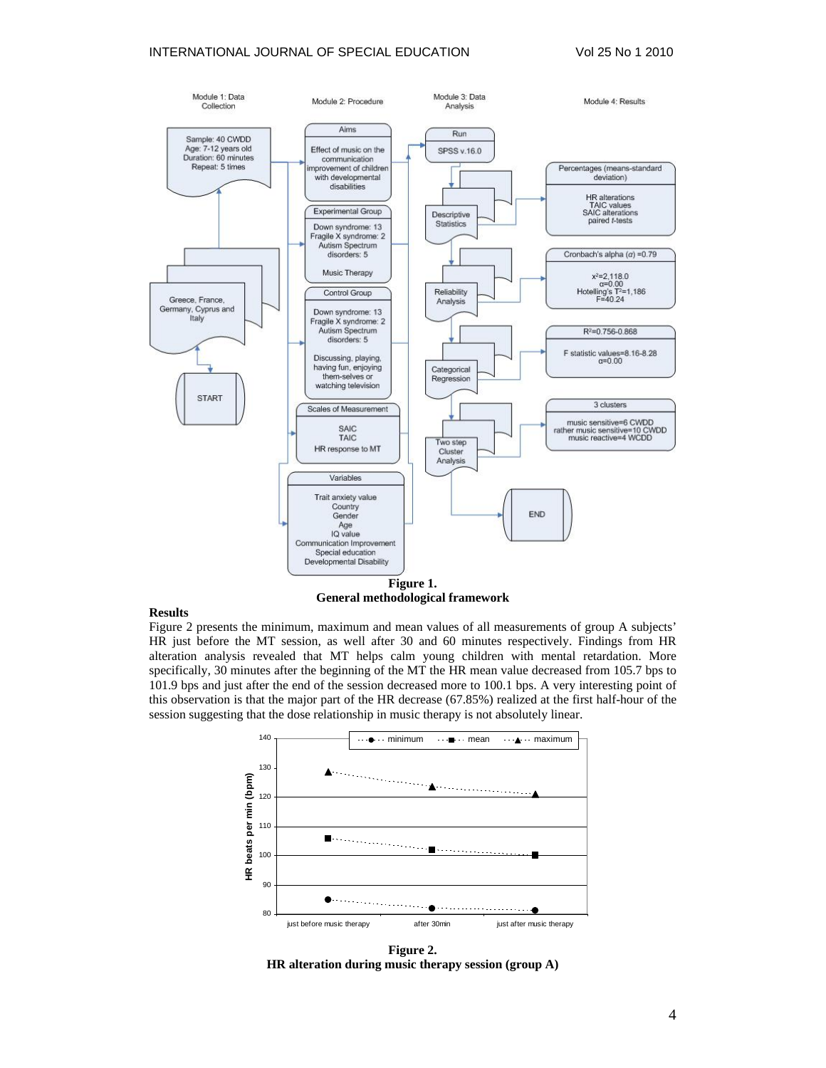## INTERNATIONAL JOURNAL OF SPECIAL EDUCATION Vol 25 No 1 2010



**Figure 1. General methodological framework** 

### **Results**

Figure 2 presents the minimum, maximum and mean values of all measurements of group A subjects' HR just before the MT session, as well after 30 and 60 minutes respectively. Findings from HR alteration analysis revealed that MT helps calm young children with mental retardation. More specifically, 30 minutes after the beginning of the MT the HR mean value decreased from 105.7 bps to 101.9 bps and just after the end of the session decreased more to 100.1 bps. A very interesting point of this observation is that the major part of the HR decrease (67.85%) realized at the first half-hour of the session suggesting that the dose relationship in music therapy is not absolutely linear.



**Figure 2. HR alteration during music therapy session (group A)**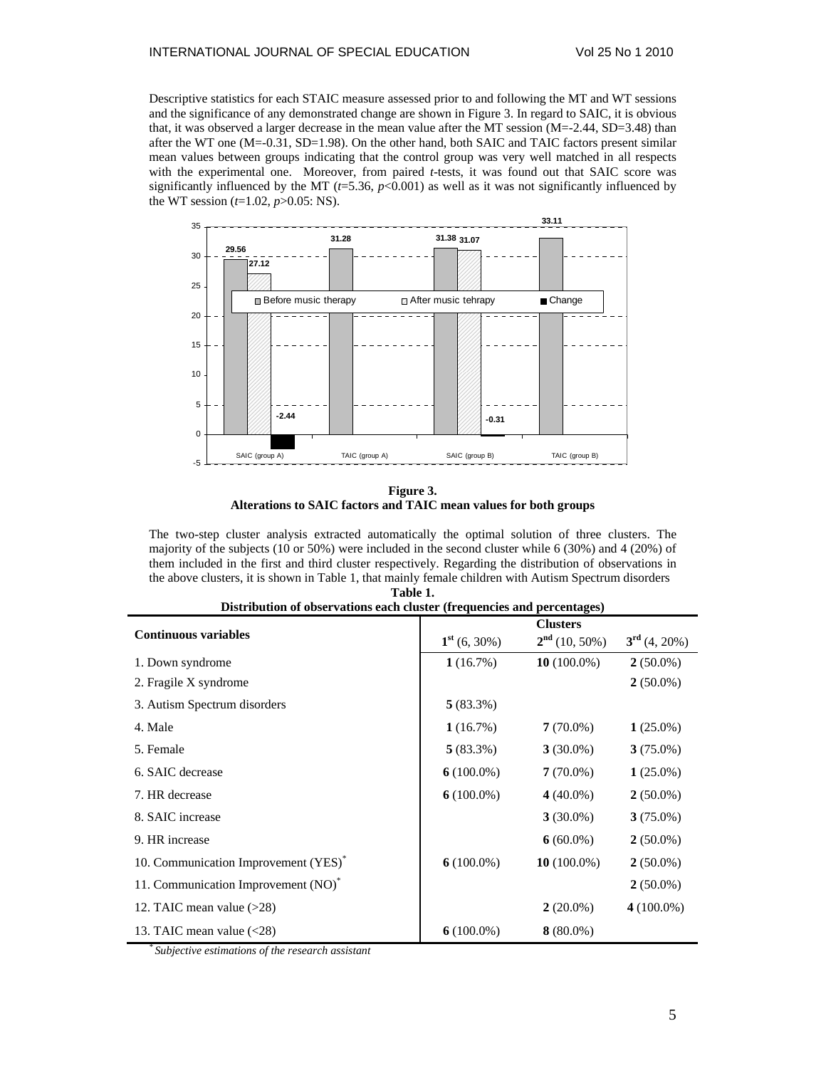Descriptive statistics for each STAIC measure assessed prior to and following the MT and WT sessions and the significance of any demonstrated change are shown in Figure 3. In regard to SAIC, it is obvious that, it was observed a larger decrease in the mean value after the MT session (M=-2.44, SD=3.48) than after the WT one (M=-0.31, SD=1.98). On the other hand, both SAIC and TAIC factors present similar mean values between groups indicating that the control group was very well matched in all respects with the experimental one. Moreover, from paired *t*-tests, it was found out that SAIC score was significantly influenced by the MT ( $t=5.36$ ,  $p<0.001$ ) as well as it was not significantly influenced by the WT session (*t*=1.02, *p*>0.05: NS).



**Figure 3. Alterations to SAIC factors and TAIC mean values for both groups** 

The two-step cluster analysis extracted automatically the optimal solution of three clusters. The majority of the subjects (10 or 50%) were included in the second cluster while 6 (30%) and 4 (20%) of them included in the first and third cluster respectively. Regarding the distribution of observations in the above clusters, it is shown in Table 1, that mainly female children with Autism Spectrum disorders **Table 1.** 

| Distribution of observations each cluster (if equencies and percentages) |                |                                    |                       |  |  |  |  |
|--------------------------------------------------------------------------|----------------|------------------------------------|-----------------------|--|--|--|--|
| <b>Continuous variables</b>                                              | $1st$ (6, 30%) | <b>Clusters</b><br>$2nd$ (10, 50%) | $3^{\rm rd}$ (4, 20%) |  |  |  |  |
|                                                                          |                |                                    |                       |  |  |  |  |
| 1. Down syndrome                                                         | 1(16.7%)       | 10 $(100.0\%)$                     | $2(50.0\%)$           |  |  |  |  |
| 2. Fragile X syndrome                                                    |                |                                    | $2(50.0\%)$           |  |  |  |  |
| 3. Autism Spectrum disorders                                             | $5(83.3\%)$    |                                    |                       |  |  |  |  |
| 4. Male                                                                  | 1(16.7%)       | $7(70.0\%)$                        | $1(25.0\%)$           |  |  |  |  |
| 5. Female                                                                | $5(83.3\%)$    | $3(30.0\%)$                        | $3(75.0\%)$           |  |  |  |  |
| 6. SAIC decrease                                                         | $6(100.0\%)$   | $7(70.0\%)$                        | $1(25.0\%)$           |  |  |  |  |
| 7. HR decrease                                                           | $6(100.0\%)$   | 4 $(40.0\%)$                       | $2(50.0\%)$           |  |  |  |  |
| 8. SAIC increase                                                         |                | $3(30.0\%)$                        | $3(75.0\%)$           |  |  |  |  |
| 9. HR increase                                                           |                | $6(60.0\%)$                        | $2(50.0\%)$           |  |  |  |  |
| 10. Communication Improvement (YES)*                                     | $6(100.0\%)$   | 10 $(100.0\%)$                     | $2(50.0\%)$           |  |  |  |  |
| 11. Communication Improvement (NO) <sup>*</sup>                          |                |                                    | $2(50.0\%)$           |  |  |  |  |
| 12. TAIC mean value $(>28)$                                              |                | $2(20.0\%)$                        | $4(100.0\%)$          |  |  |  |  |
| 13. TAIC mean value $\langle 28 \rangle$                                 | 6 $(100.0\%)$  | $8(80.0\%)$                        |                       |  |  |  |  |

| Distribution of observations each cluster (frequencies and percentages) |  |  |  |  |  |
|-------------------------------------------------------------------------|--|--|--|--|--|
|                                                                         |  |  |  |  |  |

*\* Subjective estimations of the research assistant*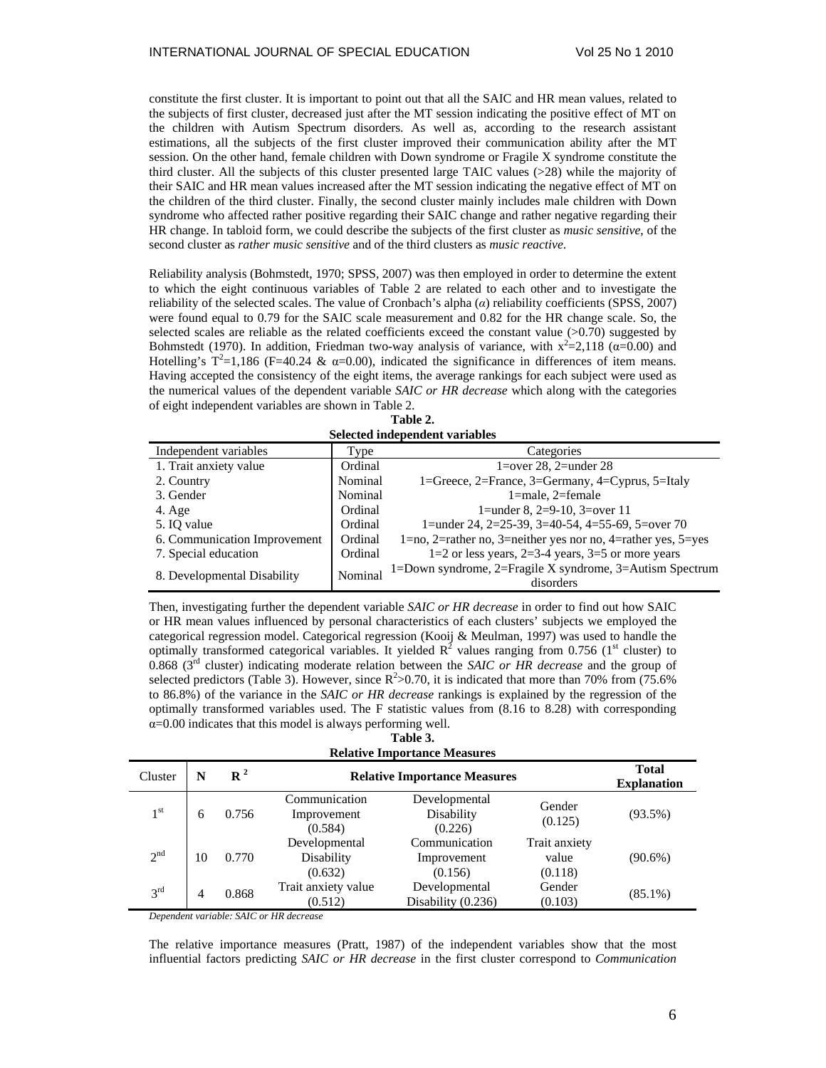constitute the first cluster. It is important to point out that all the SAIC and HR mean values, related to the subjects of first cluster, decreased just after the MT session indicating the positive effect of MT on the children with Autism Spectrum disorders. As well as, according to the research assistant estimations, all the subjects of the first cluster improved their communication ability after the MT session. On the other hand, female children with Down syndrome or Fragile X syndrome constitute the third cluster. All the subjects of this cluster presented large TAIC values (>28) while the majority of their SAIC and HR mean values increased after the MT session indicating the negative effect of MT on the children of the third cluster. Finally, the second cluster mainly includes male children with Down syndrome who affected rather positive regarding their SAIC change and rather negative regarding their HR change. In tabloid form, we could describe the subjects of the first cluster as *music sensitive*, of the second cluster as *rather music sensitive* and of the third clusters as *music reactive*.

Reliability analysis (Bohmstedt, 1970; SPSS, 2007) was then employed in order to determine the extent to which the eight continuous variables of Table 2 are related to each other and to investigate the reliability of the selected scales. The value of Cronbach's alpha (*α*) reliability coefficients (SPSS, 2007) were found equal to 0.79 for the SAIC scale measurement and 0.82 for the HR change scale. So, the selected scales are reliable as the related coefficients exceed the constant value (>0.70) suggested by Bohmstedt (1970). In addition, Friedman two-way analysis of variance, with  $x^2=2,118$  ( $\alpha=0.00$ ) and Hotelling's  $T^2=1,186$  (F=40.24 &  $\alpha=0.00$ ), indicated the significance in differences of item means. Having accepted the consistency of the eight items, the average rankings for each subject were used as the numerical values of the dependent variable *SAIC or HR decrease* which along with the categories of eight independent variables are shown in Table 2.

**Table 2. Selected independent variables** 

| Independent variables        | Type    | Categories                                                            |  |  |
|------------------------------|---------|-----------------------------------------------------------------------|--|--|
| 1. Trait anxiety value       | Ordinal | 1=over 28, 2=under $28$                                               |  |  |
| 2. Country                   | Nominal | 1=Greece, 2=France, 3=Germany, 4=Cyprus, 5=Italy                      |  |  |
| 3. Gender                    | Nominal | $1$ =male, $2$ =female                                                |  |  |
| 4. Age                       | Ordinal | 1=under 8, $2=9-10$ , $3=over 11$                                     |  |  |
| 5. IO value                  | Ordinal | 1=under 24, 2=25-39, 3=40-54, 4=55-69, 5=over 70                      |  |  |
| 6. Communication Improvement | Ordinal | 1=no, 2=rather no, 3=neither yes nor no, 4=rather yes, $5 = yes$      |  |  |
| 7. Special education         | Ordinal | $1=2$ or less years, $2=3-4$ years, $3=5$ or more years               |  |  |
| 8. Developmental Disability  | Nominal | 1=Down syndrome, 2=Fragile X syndrome, 3=Autism Spectrum<br>disorders |  |  |

Then, investigating further the dependent variable *SAIC or HR decrease* in order to find out how SAIC or HR mean values influenced by personal characteristics of each clusters' subjects we employed the categorical regression model. Categorical regression (Kooij & Meulman, 1997) was used to handle the optimally transformed categorical variables. It yielded  $R^2$  values ranging from 0.756 (1<sup>st</sup> cluster) to 0.868 (3rd cluster) indicating moderate relation between the *SAIC or HR decrease* and the group of selected predictors (Table 3). However, since  $R^2 > 0.70$ , it is indicated that more than 70% from (75.6%) to 86.8%) of the variance in the *SAIC or HR decrease* rankings is explained by the regression of the optimally transformed variables used. The F statistic values from (8.16 to 8.28) with corresponding  $\alpha$ =0.00 indicates that this model is always performing well.

## **Table 3.**

| <b>Relative Importance Measures</b> |    |                  |                                         |                                         |                                   |            |  |  |
|-------------------------------------|----|------------------|-----------------------------------------|-----------------------------------------|-----------------------------------|------------|--|--|
| Cluster                             | N  | $\mathbf{R}^{2}$ | <b>Relative Importance Measures</b>     | <b>Total</b><br><b>Explanation</b>      |                                   |            |  |  |
| 1 <sup>st</sup>                     | 6  | 0.756            | Communication<br>Improvement<br>(0.584) | Developmental<br>Disability<br>(0.226)  | Gender<br>(0.125)                 | $(93.5\%)$ |  |  |
| 2 <sup>nd</sup>                     | 10 | 0.770            | Developmental<br>Disability<br>(0.632)  | Communication<br>Improvement<br>(0.156) | Trait anxiety<br>value<br>(0.118) | $(90.6\%)$ |  |  |
| 3 <sup>rd</sup>                     | 4  | 0.868            | Trait anxiety value<br>(0.512)          | Developmental<br>Disability (0.236)     | Gender<br>(0.103)                 | $(85.1\%)$ |  |  |

*Dependent variable: SAIC or HR decrease*

The relative importance measures (Pratt, 1987) of the independent variables show that the most influential factors predicting *SAIC or HR decrease* in the first cluster correspond to *Communication*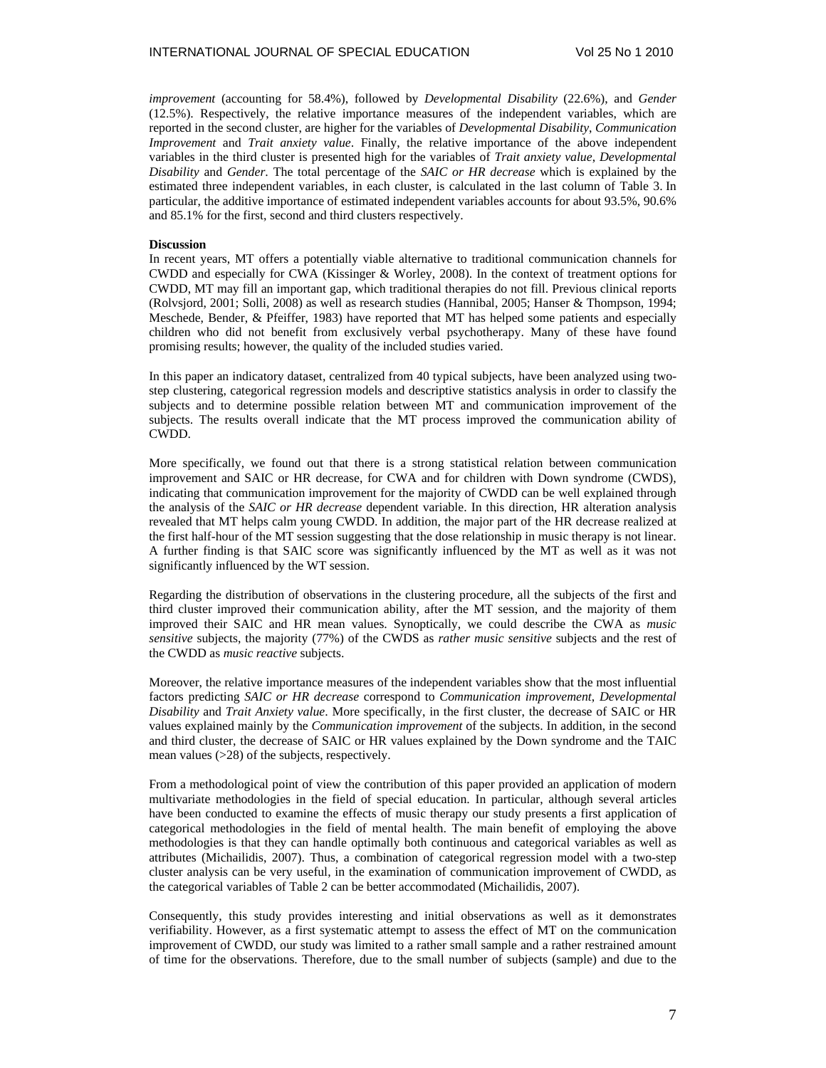*improvement* (accounting for 58.4%), followed by *Developmental Disability* (22.6%), and *Gender* (12.5%). Respectively, the relative importance measures of the independent variables, which are reported in the second cluster, are higher for the variables of *Developmental Disability*, *Communication Improvement* and *Trait anxiety value*. Finally, the relative importance of the above independent variables in the third cluster is presented high for the variables of *Trait anxiety value*, *Developmental Disability* and *Gender*. The total percentage of the *SAIC or HR decrease* which is explained by the estimated three independent variables, in each cluster, is calculated in the last column of Table 3. In particular, the additive importance of estimated independent variables accounts for about 93.5%, 90.6% and 85.1% for the first, second and third clusters respectively.

### **Discussion**

In recent years, MT offers a potentially viable alternative to traditional communication channels for CWDD and especially for CWA (Kissinger & Worley, 2008). In the context of treatment options for CWDD, MT may fill an important gap, which traditional therapies do not fill. Previous clinical reports (Rolvsjord, 2001; Solli, 2008) as well as research studies (Hannibal, 2005; Hanser & Thompson, 1994; Meschede, Bender, & Pfeiffer, 1983) have reported that MT has helped some patients and especially children who did not benefit from exclusively verbal psychotherapy. Many of these have found promising results; however, the quality of the included studies varied.

In this paper an indicatory dataset, centralized from 40 typical subjects, have been analyzed using twostep clustering, categorical regression models and descriptive statistics analysis in order to classify the subjects and to determine possible relation between MT and communication improvement of the subjects. The results overall indicate that the MT process improved the communication ability of CWDD.

More specifically, we found out that there is a strong statistical relation between communication improvement and SAIC or HR decrease, for CWA and for children with Down syndrome (CWDS), indicating that communication improvement for the majority of CWDD can be well explained through the analysis of the *SAIC or HR decrease* dependent variable. In this direction, HR alteration analysis revealed that MT helps calm young CWDD. In addition, the major part of the HR decrease realized at the first half-hour of the MT session suggesting that the dose relationship in music therapy is not linear. A further finding is that SAIC score was significantly influenced by the MT as well as it was not significantly influenced by the WT session.

Regarding the distribution of observations in the clustering procedure, all the subjects of the first and third cluster improved their communication ability, after the MT session, and the majority of them improved their SAIC and HR mean values. Synoptically, we could describe the CWA as *music sensitive* subjects, the majority (77%) of the CWDS as *rather music sensitive* subjects and the rest of the CWDD as *music reactive* subjects.

Moreover, the relative importance measures of the independent variables show that the most influential factors predicting *SAIC or HR decrease* correspond to *Communication improvement*, *Developmental Disability* and *Trait Anxiety value*. More specifically, in the first cluster, the decrease of SAIC or HR values explained mainly by the *Communication improvement* of the subjects. In addition, in the second and third cluster, the decrease of SAIC or HR values explained by the Down syndrome and the TAIC mean values (>28) of the subjects, respectively.

From a methodological point of view the contribution of this paper provided an application of modern multivariate methodologies in the field of special education. In particular, although several articles have been conducted to examine the effects of music therapy our study presents a first application of categorical methodologies in the field of mental health. The main benefit of employing the above methodologies is that they can handle optimally both continuous and categorical variables as well as attributes (Michailidis, 2007). Thus, a combination of categorical regression model with a two-step cluster analysis can be very useful, in the examination of communication improvement of CWDD, as the categorical variables of Table 2 can be better accommodated (Michailidis, 2007).

Consequently, this study provides interesting and initial observations as well as it demonstrates verifiability. However, as a first systematic attempt to assess the effect of MT on the communication improvement of CWDD, our study was limited to a rather small sample and a rather restrained amount of time for the observations. Therefore, due to the small number of subjects (sample) and due to the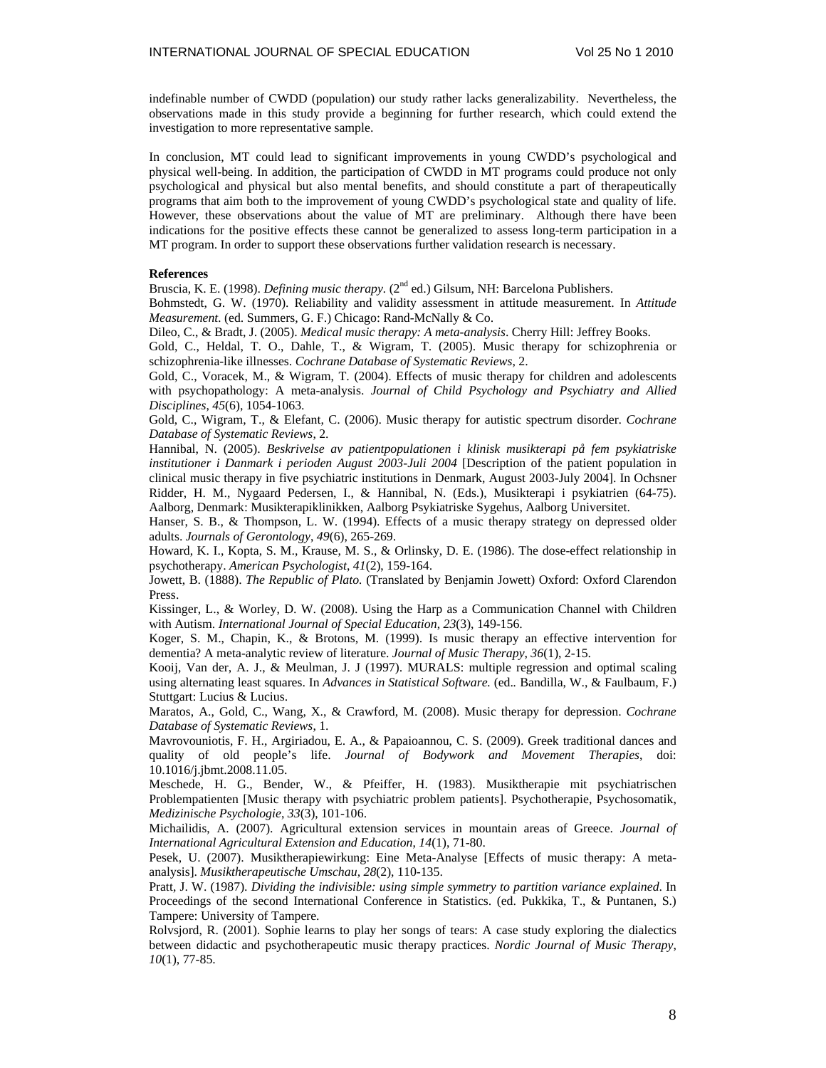indefinable number of CWDD (population) our study rather lacks generalizability. Nevertheless, the observations made in this study provide a beginning for further research, which could extend the investigation to more representative sample.

In conclusion, MT could lead to significant improvements in young CWDD's psychological and physical well-being. In addition, the participation of CWDD in MT programs could produce not only psychological and physical but also mental benefits, and should constitute a part of therapeutically programs that aim both to the improvement of young CWDD's psychological state and quality of life. However, these observations about the value of MT are preliminary. Although there have been indications for the positive effects these cannot be generalized to assess long-term participation in a MT program. In order to support these observations further validation research is necessary.

## **References**

Bruscia, K. E. (1998). *Defining music therapy.* (2<sup>nd</sup> ed.) Gilsum, NH: Barcelona Publishers.

Bohmstedt, G. W. (1970). Reliability and validity assessment in attitude measurement. In *Attitude Measurement.* (ed. Summers, G. F.) Chicago: Rand-McNally & Co.

Dileo, C., & Bradt, J. (2005). *Medical music therapy: A meta-analysis*. Cherry Hill: Jeffrey Books.

Gold, C., Heldal, T. O., Dahle, T., & Wigram, T. (2005). Music therapy for schizophrenia or schizophrenia-like illnesses. *Cochrane Database of Systematic Reviews*, 2.

Gold, C., Voracek, M., & Wigram, T. (2004). Effects of music therapy for children and adolescents with psychopathology: A meta-analysis. *Journal of Child Psychology and Psychiatry and Allied Disciplines*, *45*(6), 1054-1063.

Gold, C., Wigram, T., & Elefant, C. (2006). Music therapy for autistic spectrum disorder. *Cochrane Database of Systematic Reviews*, 2.

Hannibal, N. (2005). *Beskrivelse av patientpopulationen i klinisk musikterapi på fem psykiatriske institutioner i Danmark i perioden August 2003-Juli 2004* [Description of the patient population in clinical music therapy in five psychiatric institutions in Denmark, August 2003-July 2004]. In Ochsner Ridder, H. M., Nygaard Pedersen, I., & Hannibal, N. (Eds.), Musikterapi i psykiatrien (64-75). Aalborg, Denmark: Musikterapiklinikken, Aalborg Psykiatriske Sygehus, Aalborg Universitet.

Hanser, S. B., & Thompson, L. W. (1994). Effects of a music therapy strategy on depressed older adults. *Journals of Gerontology*, *49*(6), 265-269.

Howard, K. I., Kopta, S. M., Krause, M. S., & Orlinsky, D. E. (1986). The dose-effect relationship in psychotherapy. *American Psychologist*, *41*(2), 159-164.

Jowett, B. (1888). *The Republic of Plato.* (Translated by Benjamin Jowett) Oxford: Oxford Clarendon Press.

Kissinger, L., & Worley, D. W. (2008). Using the Harp as a Communication Channel with Children with Autism. *International Journal of Special Education*, *23*(3), 149-156.

Koger, S. M., Chapin, K., & Brotons, M. (1999). Is music therapy an effective intervention for dementia? A meta-analytic review of literature. *Journal of Music Therapy*, *36*(1), 2-15.

Kooij, Van der, A. J., & Meulman, J. J (1997). MURALS: multiple regression and optimal scaling using alternating least squares. In *Advances in Statistical Software.* (ed.. Bandilla, W., & Faulbaum, F.) Stuttgart: Lucius & Lucius.

Maratos, A., Gold, C., Wang, X., & Crawford, M. (2008). Music therapy for depression. *Cochrane Database of Systematic Reviews*, 1.

Mavrovouniotis, F. H., Argiriadou, E. A., & Papaioannou, C. S. (2009). Greek traditional dances and quality of old people's life. *Journal of Bodywork and Movement Therapies*, doi: 10.1016/j.jbmt.2008.11.05.

Meschede, H. G., Bender, W., & Pfeiffer, H. (1983). Musiktherapie mit psychiatrischen Problempatienten [Music therapy with psychiatric problem patients]. Psychotherapie, Psychosomatik, *Medizinische Psychologie*, *33*(3), 101-106.

Michailidis, A. (2007). Agricultural extension services in mountain areas of Greece. *Journal of International Agricultural Extension and Education*, *14*(1), 71-80.

Pesek, U. (2007). Musiktherapiewirkung: Eine Meta-Analyse [Effects of music therapy: A metaanalysis]. *Musiktherapeutische Umschau*, *28*(2), 110-135.

Pratt, J. W. (1987). *Dividing the indivisible: using simple symmetry to partition variance explained*. In Proceedings of the second International Conference in Statistics. (ed. Pukkika, T., & Puntanen, S.) Tampere: University of Tampere.

Rolvsjord, R. (2001). Sophie learns to play her songs of tears: A case study exploring the dialectics between didactic and psychotherapeutic music therapy practices. *Nordic Journal of Music Therapy*, *10*(1), 77-85.